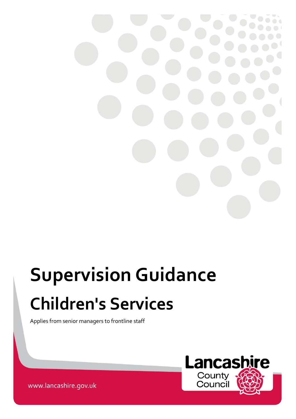

# **Supervision Guidance Children's Services**

Applies from senior managers to frontline staff



www.lancashire.gov.uk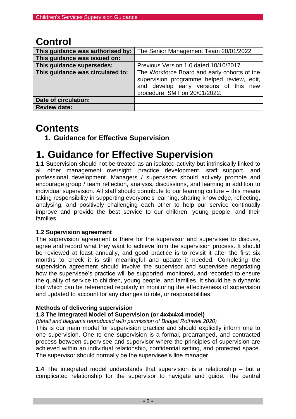## **Control**

| This guidance was authorised by: | The Senior Management Team 20/01/2022                                                                                                                                 |
|----------------------------------|-----------------------------------------------------------------------------------------------------------------------------------------------------------------------|
| This guidance was issued on:     |                                                                                                                                                                       |
| This guidance supersedes:        | Previous Version 1.0 dated 10/10/2017                                                                                                                                 |
| This guidance was circulated to: | The Workforce Board and early cohorts of the<br>supervision programme helped review, edit,<br>and develop early versions of this new<br>procedure. SMT on 20/01/2022. |
| Date of circulation:             |                                                                                                                                                                       |
| <b>Review date:</b>              |                                                                                                                                                                       |

## **Contents**

**1. Guidance for Effective Supervision** 

## **1. Guidance for Effective Supervision**

**1.1** Supervision should not be treated as an isolated activity but intrinsically linked to all other management oversight, practice development, staff support, and professional development. Managers / supervisors should actively promote and encourage group / team reflection, analysis, discussions, and learning in addition to individual supervision. All staff should contribute to our learning culture – this means taking responsibility in supporting everyone's learning, sharing knowledge, reflecting, analysing, and positively challenging each other to help our service continually improve and provide the best service to our children, young people, and their families.

#### **1.2 Supervision agreement**

The supervision agreement is there for the supervisor and supervisee to discuss, agree and record what they want to achieve from the supervision process. It should be reviewed at least annually, and good practice is to revisit it after the first six months to check it is still meaningful and update it needed. Completing the supervision agreement should involve the supervisor and supervisee negotiating how the supervisee's practice will be supported, monitored, and recorded to ensure the quality of service to children, young people, and families. It should be a dynamic tool which can be referenced regularly in monitoring the effectiveness of supervision and updated to account for any changes to role, or responsibilities.

#### **Methods of delivering supervision**

#### **1.3 The Integrated Model of Supervision (or 4x4x4x4 model)**

*(detail and diagrams reproduced with permission of Bridget Rothwell 2020)*

This is our main model for supervision practice and should explicitly inform one to one supervision. One to one supervision is a formal, prearranged, and contracted process between supervisee and supervisor where the principles of supervision are achieved within an individual relationship, confidential setting, and protected space. The supervisor should normally be the supervisee's line manager.

**1.4** The integrated model understands that supervision is a relationship – but a complicated relationship for the supervisor to navigate and guide. The central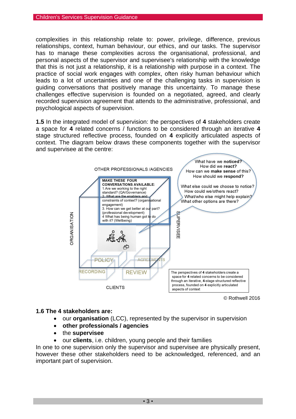complexities in this relationship relate to: power, privilege, difference, previous relationships, context, human behaviour, our ethics, and our tasks. The supervisor has to manage these complexities across the organisational, professional, and personal aspects of the supervisor and supervisee's relationship with the knowledge that this is not just a relationship, it is a relationship with purpose in a context. The practice of social work engages with complex, often risky human behaviour which leads to a lot of uncertainties and one of the challenging tasks in supervision is guiding conversations that positively manage this uncertainty. To manage these challenges effective supervision is founded on a negotiated, agreed, and clearly recorded supervision agreement that attends to the administrative, professional, and psychological aspects of supervision.

**1.5** In the integrated model of supervision: the perspectives of **4** stakeholders create a space for **4** related concerns / functions to be considered through an iterative **4** stage structured reflective process, founded on **4** explicitly articulated aspects of context. The diagram below draws these components together with the supervisor and supervisee at the centre:



© Rothwell 2016

#### **1.6 The 4 stakeholders are:**

- our **organisation** (LCC), represented by the supervisor in supervision
- **other professionals / agencies**
- the **supervisee**
- our **clients**, i.e. children, young people and their families

In one to one supervision only the supervisor and supervisee are physically present, however these other stakeholders need to be acknowledged, referenced, and an important part of supervision.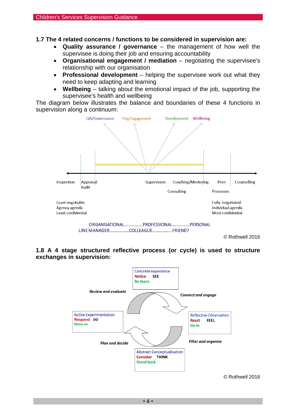**1.7 The 4 related concerns / functions to be considered in supervision are:** 

- **Quality assurance / governance** the management of how well the supervisee is doing their job and ensuring accountability
- **Organisational engagement / mediation** negotiating the supervisee's relationship with our organisation
- **Professional development** helping the supervisee work out what they need to keep adapting and learning
- **Wellbeing** talking about the emotional impact of the job, supporting the supervisee's health and wellbeing

The diagram below illustrates the balance and boundaries of these 4 functions in supervision along a continuum:



#### **1.8 A 4 stage structured reflective process (or cycle) is used to structure exchanges in supervision:**



© Rothwell 2016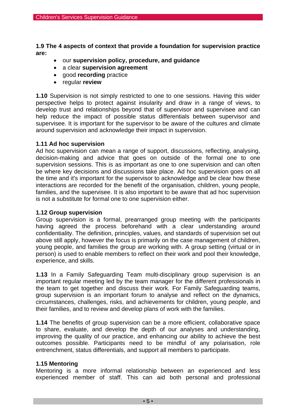**1.9 The 4 aspects of context that provide a foundation for supervision practice are:** 

- our **supervision policy, procedure, and guidance**
- a clear **supervision agreement**
- good **recording** practice
- regular **review**

**1.10** Supervision is not simply restricted to one to one sessions. Having this wider perspective helps to protect against insularity and draw in a range of views, to develop trust and relationships beyond that of supervisor and supervisee and can help reduce the impact of possible status differentials between supervisor and supervisee. It is important for the supervisor to be aware of the cultures and climate around supervision and acknowledge their impact in supervision.

#### **1.11 Ad hoc supervision**

Ad hoc supervision can mean a range of support, discussions, reflecting, analysing, decision-making and advice that goes on outside of the formal one to one supervision sessions. This is as important as one to one supervision and can often be where key decisions and discussions take place. Ad hoc supervision goes on all the time and it's important for the supervisor to acknowledge and be clear how these interactions are recorded for the benefit of the organisation, children, young people, families, and the supervisee. It is also important to be aware that ad hoc supervision is not a substitute for formal one to one supervision either.

#### **1.12 Group supervision**

Group supervision is a formal, prearranged group meeting with the participants having agreed the process beforehand with a clear understanding around confidentiality. The definition, principles, values, and standards of supervision set out above still apply, however the focus is primarily on the case management of children, young people, and families the group are working with. A group setting (virtual or in person) is used to enable members to reflect on their work and pool their knowledge, experience, and skills.

**1.13** In a Family Safeguarding Team multi-disciplinary group supervision is an important regular meeting led by the team manager for the different professionals in the team to get together and discuss their work. For Family Safeguarding teams, group supervision is an important forum to analyse and reflect on the dynamics, circumstances, challenges, risks, and achievements for children, young people, and their families, and to review and develop plans of work with the families.

**1.14** The benefits of group supervision can be a more efficient, collaborative space to share, evaluate, and develop the depth of our analyses and understanding, improving the quality of our practice, and enhancing our ability to achieve the best outcomes possible. Participants need to be mindful of any polarisation, role entrenchment, status differentials, and support all members to participate.

#### **1.15 Mentoring**

Mentoring is a more informal relationship between an experienced and less experienced member of staff. This can aid both personal and professional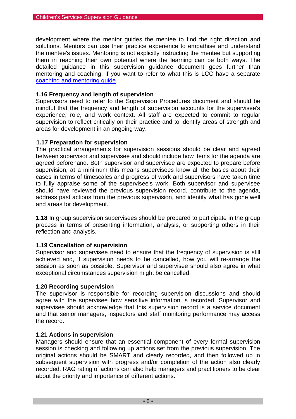development where the mentor guides the mentee to find the right direction and solutions. Mentors can use their practice experience to empathise and understand the mentee's issues. Mentoring is not explicitly instructing the mentee but supporting them in reaching their own potential where the learning can be both ways. The detailed guidance in this supervision guidance document goes further than mentoring and coaching, if you want to refer to what this is LCC have a separate [coaching and mentoring guide.](http://intranet.ad.lancscc.net/how-do-i/learning-training/coaching-mentoring/)

#### **1.16 Frequency and length of supervision**

Supervisors need to refer to the Supervision Procedures document and should be mindful that the frequency and length of supervision accounts for the supervisee's experience, role, and work context. All staff are expected to commit to regular supervision to reflect critically on their practice and to identify areas of strength and areas for development in an ongoing way.

#### **1.17 Preparation for supervision**

The practical arrangements for supervision sessions should be clear and agreed between supervisor and supervisee and should include how items for the agenda are agreed beforehand. Both supervisor and supervisee are expected to prepare before supervision, at a minimum this means supervisees know all the basics about their cases in terms of timescales and progress of work and supervisors have taken time to fully appraise some of the supervisee's work. Both supervisor and supervisee should have reviewed the previous supervision record, contribute to the agenda, address past actions from the previous supervision, and identify what has gone well and areas for development.

**1.18** In group supervision supervisees should be prepared to participate in the group process in terms of presenting information, analysis, or supporting others in their reflection and analysis.

#### **1.19 Cancellation of supervision**

Supervisor and supervisee need to ensure that the frequency of supervision is still achieved and, if supervision needs to be cancelled, how you will re-arrange the session as soon as possible. Supervisor and supervisee should also agree in what exceptional circumstances supervision might be cancelled.

#### **1.20 Recording supervision**

The supervisor is responsible for recording supervision discussions and should agree with the supervisee how sensitive information is recorded. Supervisor and supervisee should acknowledge that this supervision record is a service document and that senior managers, inspectors and staff monitoring performance may access the record.

#### **1.21 Actions in supervision**

Managers should ensure that an essential component of every formal supervision session is checking and following up actions set from the previous supervision. The original actions should be SMART and clearly recorded, and then followed up in subsequent supervision with progress and/or completion of the action also clearly recorded. RAG rating of actions can also help managers and practitioners to be clear about the priority and importance of different actions.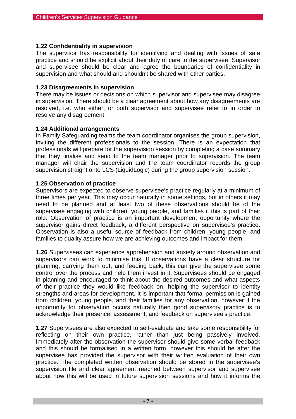#### **1.22 Confidentiality in supervision**

The supervisor has responsibility for identifying and dealing with issues of safe practice and should be explicit about their duty of care to the supervisee. Supervisor and supervisee should be clear and agree the boundaries of confidentiality in supervision and what should and shouldn't be shared with other parties.

#### **1.23 Disagreements in supervision**

There may be issues or decisions on which supervisor and supervisee may disagree in supervision. There should be a clear agreement about how any disagreements are resolved, i.e. who either, or both supervisor and supervisee refer to in order to resolve any disagreement.

#### **1.24 Additional arrangements**

In Family Safeguarding teams the team coordinator organises the group supervision, inviting the different professionals to the session. There is an expectation that professionals will prepare for the supervision session by completing a case summary that they finalise and send to the team manager prior to supervision. The team manager will chair the supervision and the team coordinator records the group supervision straight onto LCS (LiquidLogic) during the group supervision session.

#### **1.25 Observation of practice**

Supervisors are expected to observe supervisee's practice regularly at a minimum of three times per year. This may occur naturally in some settings, but in others it may need to be planned and at least two of these observations should be of the supervisee engaging with children, young people, and families if this is part of their role. Observation of practice is an important development opportunity where the supervisor gains direct feedback, a different perspective on supervisee's practice. Observation is also a useful source of feedback from children, young people, and families to quality assure how we are achieving outcomes and impact for them.

**1.26** Supervisees can experience apprehension and anxiety around observation and supervisors can work to minimise this. If observations have a clear structure for planning, carrying them out, and feeding back, this can give the supervisee some control over the process and help them invest in it. Supervisees should be engaged in planning and encouraged to think about the desired outcomes and what aspects of their practice they would like feedback on, helping the supervisor to identity strengths and areas for development. It is important that formal permission is gained from children, young people, and their families for any observation, however if the opportunity for observation occurs naturally then good supervisory practice is to acknowledge their presence, assessment, and feedback on supervisee's practice.

**1.27** Supervisees are also expected to self-evaluate and take some responsibility for reflecting on their own practice, rather than just being passively involved. Immediately after the observation the supervisor should give some verbal feedback and this should be formalised in a written form, however this should be after the supervisee has provided the supervisor with their written evaluation of their own practice. The completed written observation should be stored in the supervisee's supervision file and clear agreement reached between supervisor and supervisee about how this will be used in future supervision sessions and how it informs the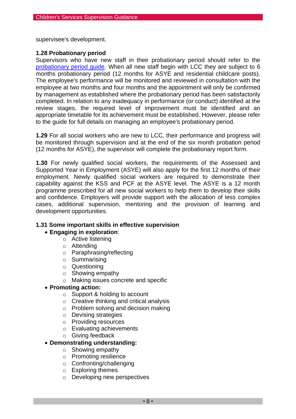supervisee's development.

#### **1.28 Probationary period**

Supervisors who have new staff in their probationary period should refer to the [probationary period guide.](http://intranet.ad.lancscc.net/how-do-i/hr-pay-employment/monitor-the-probation-period/) When all new staff begin with LCC they are subject to 6 months probationary period (12 months for ASYE and residential childcare posts). The employee's performance will be monitored and reviewed in consultation with the employee at two months and four months and the appointment will only be confirmed by management as established where the probationary period has been satisfactorily completed. In relation to any inadequacy in performance (or conduct) identified at the review stages, the required level of improvement must be identified and an appropriate timetable for its achievement must be established. However, please refer to the guide for full details on managing an employee's probationary period.

**1.29** For all social workers who are new to LCC, their performance and progress will be monitored through supervision and at the end of the six month probation period (12 months for ASYE), the supervisor will complete the probationary report form.

**1.30** For newly qualified social workers, the requirements of the Assessed and Supported Year in Employment (ASYE) will also apply for the first 12 months of their employment. Newly qualified social workers are required to demonstrate their capability against the KSS and PCF at the ASYE level. The ASYE is a 12 month programme prescribed for all new social workers to help them to develop their skills and confidence. Employers will provide support with the allocation of less complex cases, additional supervision, mentoring and the provision of learning and development opportunities.

#### **1.31 Some important skills in effective supervision**

#### • **Engaging in exploration**:

- o Active listening
- o Attending
- o Paraphrasing/reflecting
- o Summarising
- o Questioning
- o Showing empathy
- o Making issues concrete and specific

#### • **Promoting action:**

- o Support & holding to account
- o Creative thinking and critical analysis
- o Problem solving and decision making
- o Devising strategies
- o Providing resources
- o Evaluating achievements
- o Giving feedback

#### • **Demonstrating understanding:**

- o Showing empathy
- o Promoting resilience
- o Confronting/challenging
- o Exploring themes
- o Developing new perspectives